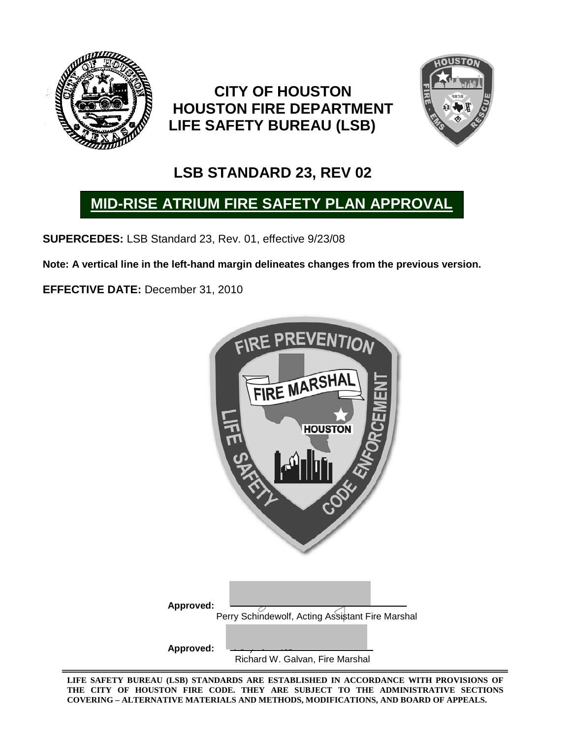

# **CITY OF HOUSTON HOUSTON FIRE DEPARTMENT LIFE SAFETY BUREAU (LSB)**



# **LSB STANDARD 23, REV 02**

# **MID-RISE ATRIUM FIRE SAFETY PLAN APPROVAL**

**SUPERCEDES:** LSB Standard 23, Rev. 01, effective 9/23/08

**Note: A vertical line in the left-hand margin delineates changes from the previous version.**

**EFFECTIVE DATE:** December 31, 2010

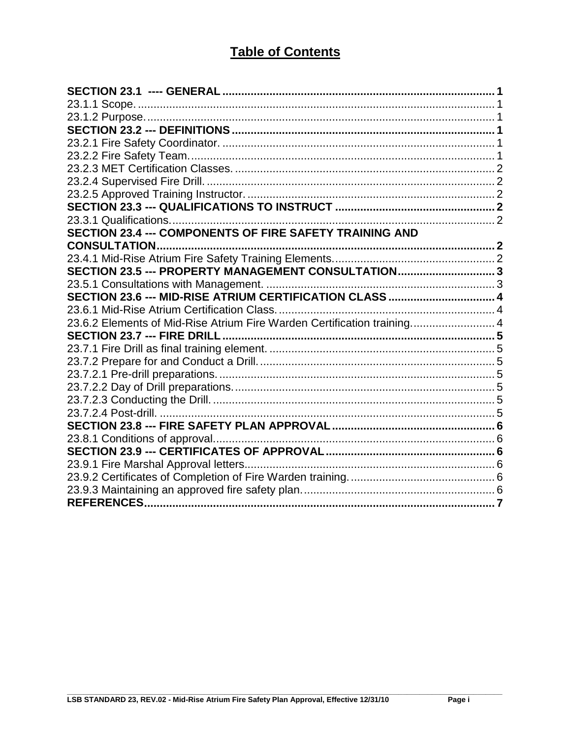### **Table of Contents**

| SECTION 23.4 --- COMPONENTS OF FIRE SAFETY TRAINING AND                 |  |
|-------------------------------------------------------------------------|--|
|                                                                         |  |
|                                                                         |  |
| SECTION 23.5 --- PROPERTY MANAGEMENT CONSULTATION3                      |  |
|                                                                         |  |
|                                                                         |  |
|                                                                         |  |
| 23.6.2 Elements of Mid-Rise Atrium Fire Warden Certification training 4 |  |
|                                                                         |  |
|                                                                         |  |
|                                                                         |  |
|                                                                         |  |
|                                                                         |  |
|                                                                         |  |
|                                                                         |  |
|                                                                         |  |
|                                                                         |  |
|                                                                         |  |
|                                                                         |  |
|                                                                         |  |
|                                                                         |  |
|                                                                         |  |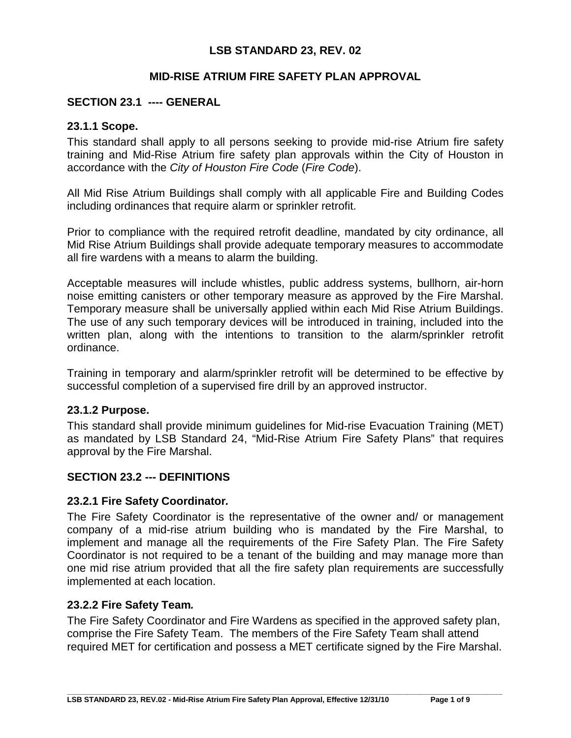#### **LSB STANDARD 23, REV. 02**

#### **MID-RISE ATRIUM FIRE SAFETY PLAN APPROVAL**

#### <span id="page-2-1"></span><span id="page-2-0"></span>**SECTION 23.1 ---- GENERAL**

#### **23.1.1 Scope.**

This standard shall apply to all persons seeking to provide mid-rise Atrium fire safety training and Mid-Rise Atrium fire safety plan approvals within the City of Houston in accordance with the *City of Houston Fire Code* (*Fire Code*).

All Mid Rise Atrium Buildings shall comply with all applicable Fire and Building Codes including ordinances that require alarm or sprinkler retrofit.

Prior to compliance with the required retrofit deadline, mandated by city ordinance, all Mid Rise Atrium Buildings shall provide adequate temporary measures to accommodate all fire wardens with a means to alarm the building.

Acceptable measures will include whistles, public address systems, bullhorn, air-horn noise emitting canisters or other temporary measure as approved by the Fire Marshal. Temporary measure shall be universally applied within each Mid Rise Atrium Buildings. The use of any such temporary devices will be introduced in training, included into the written plan, along with the intentions to transition to the alarm/sprinkler retrofit ordinance.

Training in temporary and alarm/sprinkler retrofit will be determined to be effective by successful completion of a supervised fire drill by an approved instructor.

#### <span id="page-2-2"></span>**23.1.2 Purpose.**

This standard shall provide minimum guidelines for Mid-rise Evacuation Training (MET) as mandated by LSB Standard 24, "Mid-Rise Atrium Fire Safety Plans" that requires approval by the Fire Marshal.

#### <span id="page-2-4"></span><span id="page-2-3"></span>**SECTION 23.2 --- DEFINITIONS**

#### **23.2.1 Fire Safety Coordinator***.*

The Fire Safety Coordinator is the representative of the owner and/ or management company of a mid-rise atrium building who is mandated by the Fire Marshal, to implement and manage all the requirements of the Fire Safety Plan. The Fire Safety Coordinator is not required to be a tenant of the building and may manage more than one mid rise atrium provided that all the fire safety plan requirements are successfully implemented at each location.

#### <span id="page-2-5"></span>**23.2.2 Fire Safety Team***.*

The Fire Safety Coordinator and Fire Wardens as specified in the approved safety plan, comprise the Fire Safety Team. The members of the Fire Safety Team shall attend required MET for certification and possess a MET certificate signed by the Fire Marshal.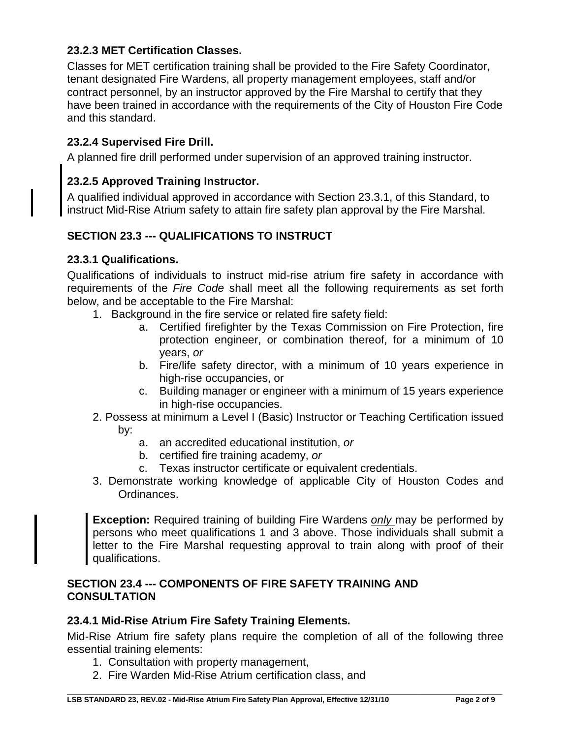#### <span id="page-3-0"></span>**23.2.3 MET Certification Classes.**

Classes for MET certification training shall be provided to the Fire Safety Coordinator, tenant designated Fire Wardens, all property management employees, staff and/or contract personnel, by an instructor approved by the Fire Marshal to certify that they have been trained in accordance with the requirements of the City of Houston Fire Code and this standard.

#### <span id="page-3-1"></span>**23.2.4 Supervised Fire Drill.**

A planned fire drill performed under supervision of an approved training instructor.

#### <span id="page-3-2"></span>**23.2.5 Approved Training Instructor.**

A qualified individual approved in accordance with Section 23.3.1, of this Standard, to instruct Mid-Rise Atrium safety to attain fire safety plan approval by the Fire Marshal.

#### <span id="page-3-3"></span>**SECTION 23.3 --- QUALIFICATIONS TO INSTRUCT**

#### <span id="page-3-4"></span>**23.3.1 Qualifications.**

Qualifications of individuals to instruct mid-rise atrium fire safety in accordance with requirements of the *Fire Code* shall meet all the following requirements as set forth below, and be acceptable to the Fire Marshal:

- 1. Background in the fire service or related fire safety field:
	- a. Certified firefighter by the Texas Commission on Fire Protection, fire protection engineer, or combination thereof, for a minimum of 10 years, *or*
	- b. Fire/life safety director, with a minimum of 10 years experience in high-rise occupancies, or
	- c. Building manager or engineer with a minimum of 15 years experience in high-rise occupancies.
- 2. Possess at minimum a Level I (Basic) Instructor or Teaching Certification issued by:
	- a. an accredited educational institution, *or*
	- b. certified fire training academy, *or*
	- c. Texas instructor certificate or equivalent credentials.
- 3. Demonstrate working knowledge of applicable City of Houston Codes and Ordinances.

**Exception:** Required training of building Fire Wardens *only* may be performed by persons who meet qualifications 1 and 3 above. Those individuals shall submit a letter to the Fire Marshal requesting approval to train along with proof of their qualifications.

#### <span id="page-3-5"></span>**SECTION 23.4 --- COMPONENTS OF FIRE SAFETY TRAINING AND CONSULTATION**

#### <span id="page-3-6"></span>**23.4.1 Mid-Rise Atrium Fire Safety Training Elements***.*

Mid-Rise Atrium fire safety plans require the completion of all of the following three essential training elements:

- 1. Consultation with property management,
- 2. Fire Warden Mid-Rise Atrium certification class, and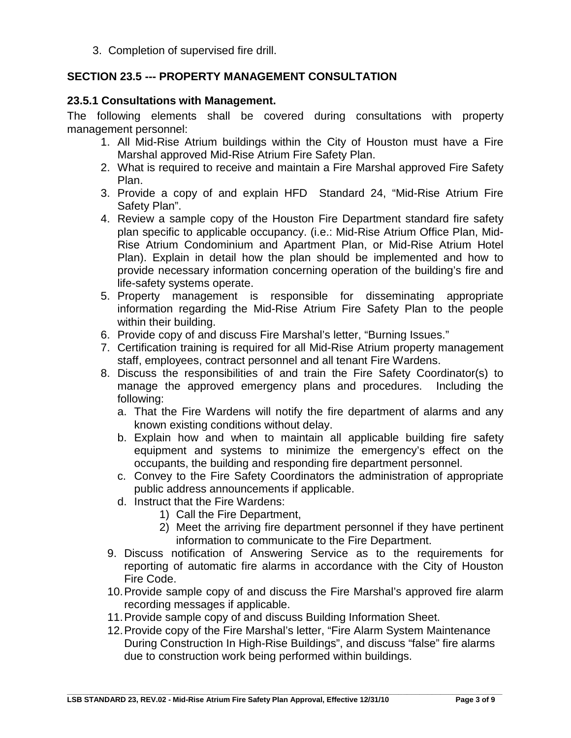3. Completion of supervised fire drill.

#### <span id="page-4-0"></span>**SECTION 23.5 --- PROPERTY MANAGEMENT CONSULTATION**

#### <span id="page-4-1"></span>**23.5.1 Consultations with Management.**

The following elements shall be covered during consultations with property management personnel:

- 1. All Mid-Rise Atrium buildings within the City of Houston must have a Fire Marshal approved Mid-Rise Atrium Fire Safety Plan.
- 2. What is required to receive and maintain a Fire Marshal approved Fire Safety Plan.
- 3. Provide a copy of and explain HFD Standard 24, "Mid-Rise Atrium Fire Safety Plan".
- 4. Review a sample copy of the Houston Fire Department standard fire safety plan specific to applicable occupancy. (i.e.: Mid-Rise Atrium Office Plan, Mid-Rise Atrium Condominium and Apartment Plan, or Mid-Rise Atrium Hotel Plan). Explain in detail how the plan should be implemented and how to provide necessary information concerning operation of the building's fire and life-safety systems operate.
- 5. Property management is responsible for disseminating appropriate information regarding the Mid-Rise Atrium Fire Safety Plan to the people within their building.
- 6. Provide copy of and discuss Fire Marshal's letter, "Burning Issues."
- 7. Certification training is required for all Mid-Rise Atrium property management staff, employees, contract personnel and all tenant Fire Wardens.
- 8. Discuss the responsibilities of and train the Fire Safety Coordinator(s) to manage the approved emergency plans and procedures. Including the following:
	- a. That the Fire Wardens will notify the fire department of alarms and any known existing conditions without delay.
	- b. Explain how and when to maintain all applicable building fire safety equipment and systems to minimize the emergency's effect on the occupants, the building and responding fire department personnel.
	- c. Convey to the Fire Safety Coordinators the administration of appropriate public address announcements if applicable.
	- d. Instruct that the Fire Wardens:
		- 1) Call the Fire Department,
		- 2) Meet the arriving fire department personnel if they have pertinent information to communicate to the Fire Department.
- 9. Discuss notification of Answering Service as to the requirements for reporting of automatic fire alarms in accordance with the City of Houston Fire Code.
- 10.Provide sample copy of and discuss the Fire Marshal's approved fire alarm recording messages if applicable.
- 11.Provide sample copy of and discuss Building Information Sheet.
- 12.Provide copy of the Fire Marshal's letter, "Fire Alarm System Maintenance During Construction In High-Rise Buildings", and discuss "false" fire alarms due to construction work being performed within buildings.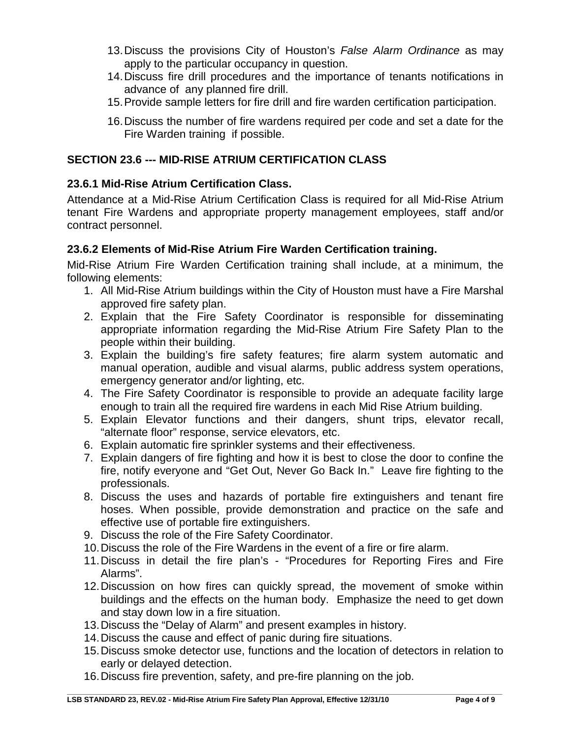- 13.Discuss the provisions City of Houston's *False Alarm Ordinance* as may apply to the particular occupancy in question.
- 14.Discuss fire drill procedures and the importance of tenants notifications in advance of any planned fire drill.
- 15.Provide sample letters for fire drill and fire warden certification participation.
- 16.Discuss the number of fire wardens required per code and set a date for the Fire Warden training if possible.

#### <span id="page-5-0"></span>**SECTION 23.6 --- MID-RISE ATRIUM CERTIFICATION CLASS**

#### <span id="page-5-1"></span>**23.6.1 Mid-Rise Atrium Certification Class.**

Attendance at a Mid-Rise Atrium Certification Class is required for all Mid-Rise Atrium tenant Fire Wardens and appropriate property management employees, staff and/or contract personnel.

#### <span id="page-5-2"></span>**23.6.2 Elements of Mid-Rise Atrium Fire Warden Certification training.**

Mid-Rise Atrium Fire Warden Certification training shall include, at a minimum, the following elements:

- 1. All Mid-Rise Atrium buildings within the City of Houston must have a Fire Marshal approved fire safety plan.
- 2. Explain that the Fire Safety Coordinator is responsible for disseminating appropriate information regarding the Mid-Rise Atrium Fire Safety Plan to the people within their building.
- 3. Explain the building's fire safety features; fire alarm system automatic and manual operation, audible and visual alarms, public address system operations, emergency generator and/or lighting, etc.
- 4. The Fire Safety Coordinator is responsible to provide an adequate facility large enough to train all the required fire wardens in each Mid Rise Atrium building.
- 5. Explain Elevator functions and their dangers, shunt trips, elevator recall, "alternate floor" response, service elevators, etc.
- 6. Explain automatic fire sprinkler systems and their effectiveness.
- 7. Explain dangers of fire fighting and how it is best to close the door to confine the fire, notify everyone and "Get Out, Never Go Back In." Leave fire fighting to the professionals.
- 8. Discuss the uses and hazards of portable fire extinguishers and tenant fire hoses. When possible, provide demonstration and practice on the safe and effective use of portable fire extinguishers.
- 9. Discuss the role of the Fire Safety Coordinator.
- 10.Discuss the role of the Fire Wardens in the event of a fire or fire alarm.
- 11.Discuss in detail the fire plan's "Procedures for Reporting Fires and Fire Alarms".
- 12.Discussion on how fires can quickly spread, the movement of smoke within buildings and the effects on the human body. Emphasize the need to get down and stay down low in a fire situation.
- 13.Discuss the "Delay of Alarm" and present examples in history.
- 14.Discuss the cause and effect of panic during fire situations.
- 15.Discuss smoke detector use, functions and the location of detectors in relation to early or delayed detection.
- 16.Discuss fire prevention, safety, and pre-fire planning on the job.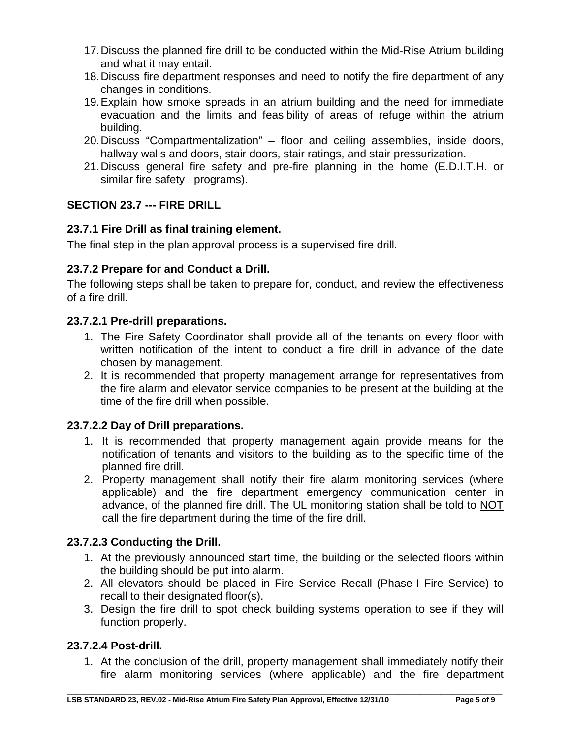- 17.Discuss the planned fire drill to be conducted within the Mid-Rise Atrium building and what it may entail.
- 18.Discuss fire department responses and need to notify the fire department of any changes in conditions.
- 19.Explain how smoke spreads in an atrium building and the need for immediate evacuation and the limits and feasibility of areas of refuge within the atrium building.
- 20.Discuss "Compartmentalization" floor and ceiling assemblies, inside doors, hallway walls and doors, stair doors, stair ratings, and stair pressurization.
- 21.Discuss general fire safety and pre-fire planning in the home (E.D.I.T.H. or similar fire safety programs).

#### <span id="page-6-0"></span>**SECTION 23.7 --- FIRE DRILL**

#### <span id="page-6-1"></span>**23.7.1 Fire Drill as final training element.**

<span id="page-6-2"></span>The final step in the plan approval process is a supervised fire drill.

#### **23.7.2 Prepare for and Conduct a Drill.**

The following steps shall be taken to prepare for, conduct, and review the effectiveness of a fire drill.

#### <span id="page-6-3"></span>**23.7.2.1 Pre-drill preparations.**

- 1. The Fire Safety Coordinator shall provide all of the tenants on every floor with written notification of the intent to conduct a fire drill in advance of the date chosen by management.
- 2. It is recommended that property management arrange for representatives from the fire alarm and elevator service companies to be present at the building at the time of the fire drill when possible.

#### <span id="page-6-4"></span>**23.7.2.2 Day of Drill preparations.**

- 1. It is recommended that property management again provide means for the notification of tenants and visitors to the building as to the specific time of the planned fire drill.
- 2. Property management shall notify their fire alarm monitoring services (where applicable) and the fire department emergency communication center in advance, of the planned fire drill. The UL monitoring station shall be told to NOT call the fire department during the time of the fire drill.

#### <span id="page-6-5"></span>**23.7.2.3 Conducting the Drill.**

- 1. At the previously announced start time, the building or the selected floors within the building should be put into alarm.
- 2. All elevators should be placed in Fire Service Recall (Phase-I Fire Service) to recall to their designated floor(s).
- 3. Design the fire drill to spot check building systems operation to see if they will function properly.

#### <span id="page-6-6"></span>**23.7.2.4 Post-drill.**

1. At the conclusion of the drill, property management shall immediately notify their fire alarm monitoring services (where applicable) and the fire department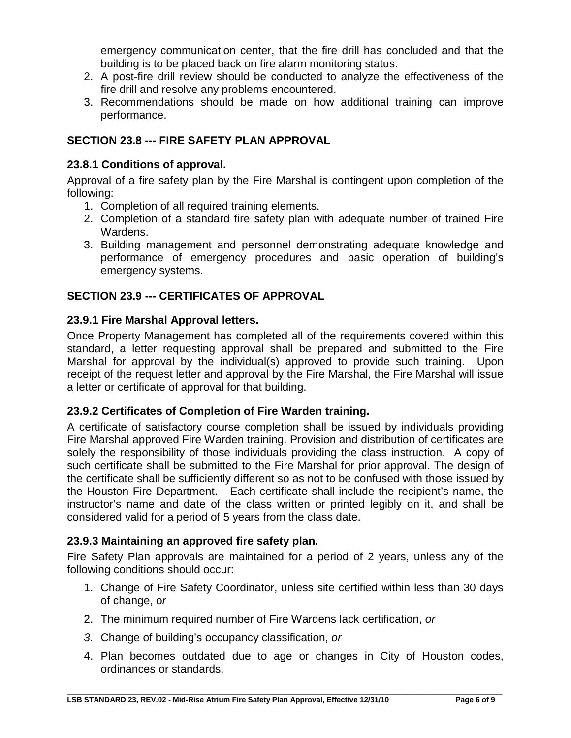emergency communication center, that the fire drill has concluded and that the building is to be placed back on fire alarm monitoring status.

- 2. A post-fire drill review should be conducted to analyze the effectiveness of the fire drill and resolve any problems encountered.
- 3. Recommendations should be made on how additional training can improve performance.

#### <span id="page-7-0"></span>**SECTION 23.8 --- FIRE SAFETY PLAN APPROVAL**

#### <span id="page-7-1"></span>**23.8.1 Conditions of approval.**

Approval of a fire safety plan by the Fire Marshal is contingent upon completion of the following:

- 1. Completion of all required training elements.
- 2. Completion of a standard fire safety plan with adequate number of trained Fire Wardens.
- 3. Building management and personnel demonstrating adequate knowledge and performance of emergency procedures and basic operation of building's emergency systems.

#### <span id="page-7-2"></span>**SECTION 23.9 --- CERTIFICATES OF APPROVAL**

#### <span id="page-7-3"></span>**23.9.1 Fire Marshal Approval letters.**

Once Property Management has completed all of the requirements covered within this standard, a letter requesting approval shall be prepared and submitted to the Fire Marshal for approval by the individual(s) approved to provide such training. Upon receipt of the request letter and approval by the Fire Marshal, the Fire Marshal will issue a letter or certificate of approval for that building.

#### <span id="page-7-4"></span>**23.9.2 Certificates of Completion of Fire Warden training.**

A certificate of satisfactory course completion shall be issued by individuals providing Fire Marshal approved Fire Warden training. Provision and distribution of certificates are solely the responsibility of those individuals providing the class instruction. A copy of such certificate shall be submitted to the Fire Marshal for prior approval. The design of the certificate shall be sufficiently different so as not to be confused with those issued by the Houston Fire Department. Each certificate shall include the recipient's name, the instructor's name and date of the class written or printed legibly on it, and shall be considered valid for a period of 5 years from the class date.

#### <span id="page-7-5"></span>**23.9.3 Maintaining an approved fire safety plan.**

Fire Safety Plan approvals are maintained for a period of 2 years, unless any of the following conditions should occur:

- 1. Change of Fire Safety Coordinator, unless site certified within less than 30 days of change, o*r*
- 2. The minimum required number of Fire Wardens lack certification, *or*
- *3.* Change of building's occupancy classification, *or*
- 4. Plan becomes outdated due to age or changes in City of Houston codes, ordinances or standards.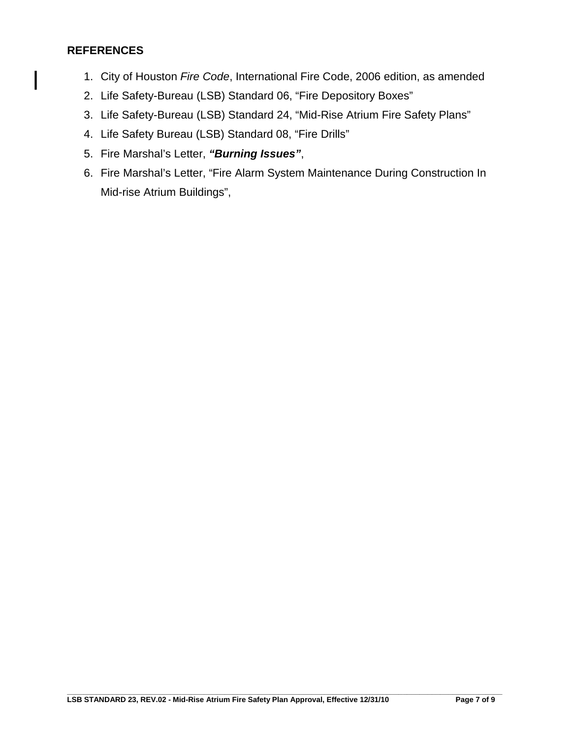#### <span id="page-8-0"></span>**REFERENCES**

 $\mathsf{l}$ 

- 1. City of Houston *Fire Code*, International Fire Code, 2006 edition, as amended
- 2. Life Safety-Bureau (LSB) Standard 06, "Fire Depository Boxes"
- 3. Life Safety-Bureau (LSB) Standard 24, "Mid-Rise Atrium Fire Safety Plans"
- 4. Life Safety Bureau (LSB) Standard 08, "Fire Drills"
- 5. Fire Marshal's Letter, *"Burning Issues"*,
- 6. Fire Marshal's Letter, "Fire Alarm System Maintenance During Construction In Mid-rise Atrium Buildings",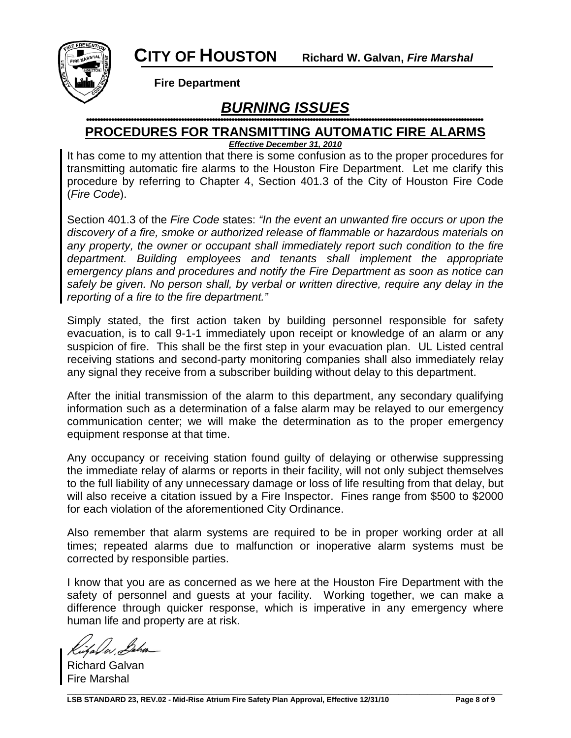

**Fire Department** 

## *BURNING ISSUES*

### **PROCEDURES FOR TRANSMITTING AUTOMATIC FIRE ALARMS**

*Effective December 31, 2010*

It has come to my attention that there is some confusion as to the proper procedures for transmitting automatic fire alarms to the Houston Fire Department. Let me clarify this procedure by referring to Chapter 4, Section 401.3 of the City of Houston Fire Code (*Fire Code*).

Section 401.3 of the *Fire Code* states: *"In the event an unwanted fire occurs or upon the discovery of a fire, smoke or authorized release of flammable or hazardous materials on any property, the owner or occupant shall immediately report such condition to the fire department. Building employees and tenants shall implement the appropriate emergency plans and procedures and notify the Fire Department as soon as notice can safely be given. No person shall, by verbal or written directive, require any delay in the reporting of a fire to the fire department."*

Simply stated, the first action taken by building personnel responsible for safety evacuation, is to call 9-1-1 immediately upon receipt or knowledge of an alarm or any suspicion of fire. This shall be the first step in your evacuation plan. UL Listed central receiving stations and second-party monitoring companies shall also immediately relay any signal they receive from a subscriber building without delay to this department.

After the initial transmission of the alarm to this department, any secondary qualifying information such as a determination of a false alarm may be relayed to our emergency communication center; we will make the determination as to the proper emergency equipment response at that time.

Any occupancy or receiving station found guilty of delaying or otherwise suppressing the immediate relay of alarms or reports in their facility, will not only subject themselves to the full liability of any unnecessary damage or loss of life resulting from that delay, but will also receive a citation issued by a Fire Inspector. Fines range from \$500 to \$2000 for each violation of the aforementioned City Ordinance.

Also remember that alarm systems are required to be in proper working order at all times; repeated alarms due to malfunction or inoperative alarm systems must be corrected by responsible parties.

I know that you are as concerned as we here at the Houston Fire Department with the safety of personnel and guests at your facility. Working together, we can make a difference through quicker response, which is imperative in any emergency where human life and property are at risk.

Richard Galvan Fire Marshal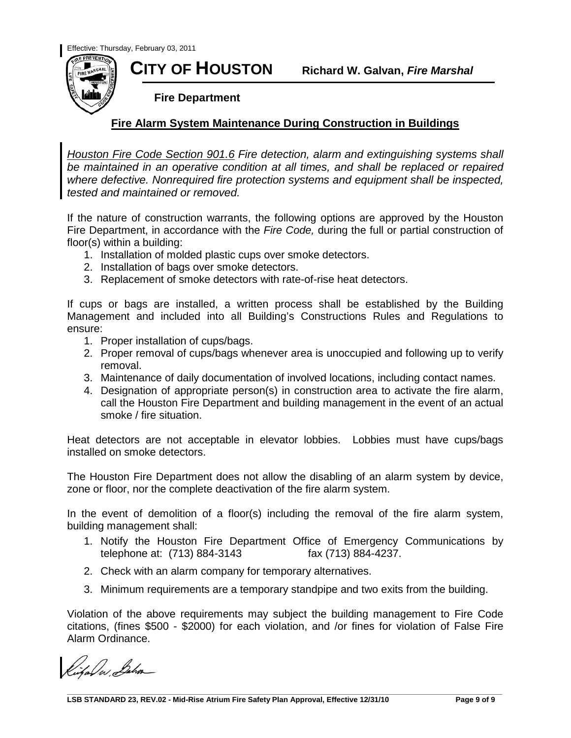

**CITY OF HOUSTON Richard W. Galvan,** *Fire Marshal*

 **Fire Department**

#### **Fire Alarm System Maintenance During Construction in Buildings**

*Houston Fire Code Section 901.6 Fire detection, alarm and extinguishing systems shall be maintained in an operative condition at all times, and shall be replaced or repaired where defective. Nonrequired fire protection systems and equipment shall be inspected, tested and maintained or removed.*

If the nature of construction warrants, the following options are approved by the Houston Fire Department, in accordance with the *Fire Code,* during the full or partial construction of floor(s) within a building:

- 1. Installation of molded plastic cups over smoke detectors.
- 2. Installation of bags over smoke detectors.
- 3. Replacement of smoke detectors with rate-of-rise heat detectors.

If cups or bags are installed, a written process shall be established by the Building Management and included into all Building's Constructions Rules and Regulations to ensure:

- 1. Proper installation of cups/bags.
- 2. Proper removal of cups/bags whenever area is unoccupied and following up to verify removal.
- 3. Maintenance of daily documentation of involved locations, including contact names.
- 4. Designation of appropriate person(s) in construction area to activate the fire alarm, call the Houston Fire Department and building management in the event of an actual smoke / fire situation.

Heat detectors are not acceptable in elevator lobbies. Lobbies must have cups/bags installed on smoke detectors.

The Houston Fire Department does not allow the disabling of an alarm system by device, zone or floor, nor the complete deactivation of the fire alarm system.

In the event of demolition of a floor(s) including the removal of the fire alarm system, building management shall:

- 1. Notify the Houston Fire Department Office of Emergency Communications by telephone at: (713) 884-3143 fax (713) 884-4237. telephone at: (713) 884-3143
- 2. Check with an alarm company for temporary alternatives.
- 3. Minimum requirements are a temporary standpipe and two exits from the building.

Violation of the above requirements may subject the building management to Fire Code citations, (fines \$500 - \$2000) for each violation, and /or fines for violation of False Fire Alarm Ordinance.

ital w Baha